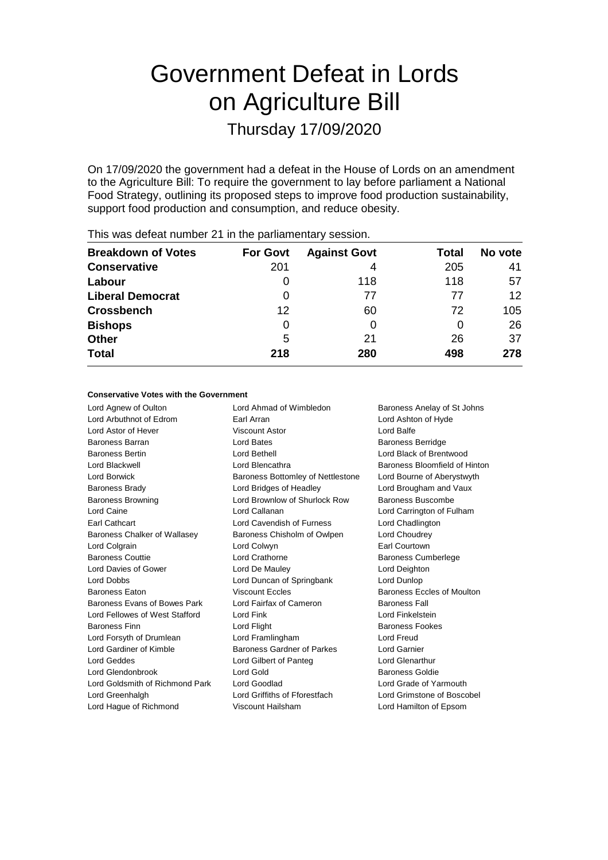# Government Defeat in Lords on Agriculture Bill

Thursday 17/09/2020

On 17/09/2020 the government had a defeat in the House of Lords on an amendment to the Agriculture Bill: To require the government to lay before parliament a National Food Strategy, outlining its proposed steps to improve food production sustainability, support food production and consumption, and reduce obesity.

| <b>Breakdown of Votes</b> | <b>For Govt</b> | <b>Against Govt</b> | Total | No vote |
|---------------------------|-----------------|---------------------|-------|---------|
| <b>Conservative</b>       | 201             | 4                   | 205   | 41      |
| Labour                    | 0               | 118                 | 118   | 57      |
| <b>Liberal Democrat</b>   | 0               | 77                  | 77    | 12      |
| <b>Crossbench</b>         | 12              | 60                  | 72    | 105     |
| <b>Bishops</b>            | 0               | O                   | O     | 26      |
| <b>Other</b>              | 5               | 21                  | 26    | 37      |
| <b>Total</b>              | 218             | 280                 | 498   | 278     |
|                           |                 |                     |       |         |

This was defeat number 21 in the parliamentary session.

#### **Conservative Votes with the Government**

Lord Agnew of Oulton **Lord Ahmad of Wimbledon** Baroness Anelay of St Johns Lord Arbuthnot of Edrom Earl Arran Lord Ashton of Hyde Lord Astor of Hever **Viscount Astor** Viscount Astor **Lord Balfe** Baroness Barran **Baroness Barran Lord Bates** Baroness Berridge Baroness Bertin Lord Bethell Lord Black of Brentwood Lord Blackwell Lord Blencathra Baroness Bloomfield of Hinton Lord Borwick **Baroness Bottomley of Nettlestone** Lord Bourne of Aberystwyth Baroness Brady Lord Bridges of Headley Lord Brougham and Vaux Baroness Browning Lord Brownlow of Shurlock Row Baroness Buscombe Lord Caine Lord Callanan Lord Carrington of Fulham Earl Cathcart Lord Cavendish of Furness Lord Chadlington Baroness Chalker of Wallasey **Baroness Chisholm of Owlpen** Lord Choudrey Lord Colgrain Lord Colwyn Earl Courtown Baroness Couttie **Lord Crathorne Baroness Cumberlege** Lord Davies of Gower **Lord De Mauley** Lord Deighton Lord Dobbs Lord Duncan of Springbank Lord Dunlop Baroness Eaton **Baroness Excles** Baroness Eccles **Baroness Eccles of Moulton** Baroness Evans of Bowes Park Lord Fairfax of Cameron Baroness Fall Lord Fellowes of West Stafford Lord Fink Lord Fink Lord Finkelstein Baroness Finn **Baroness Fookes** Lord Flight **Baroness Fookes Baroness Fookes** Lord Forsyth of Drumlean Lord Framlingham Lord Freud Lord Gardiner of Kimble **Baroness Gardner of Parkes** Lord Garnier Lord Geddes Lord Gilbert of Panteg Lord Glenarthur Lord Glendonbrook **Lord Gold** Baroness Goldie Lord Goldsmith of Richmond Park Lord Goodlad Lord Coracle of Yarmouth Lord Greenhalgh Lord Griffiths of Fforestfach Lord Grimstone of Boscobel Lord Hague of Richmond Viscount Hailsham Lord Hamilton of Epsom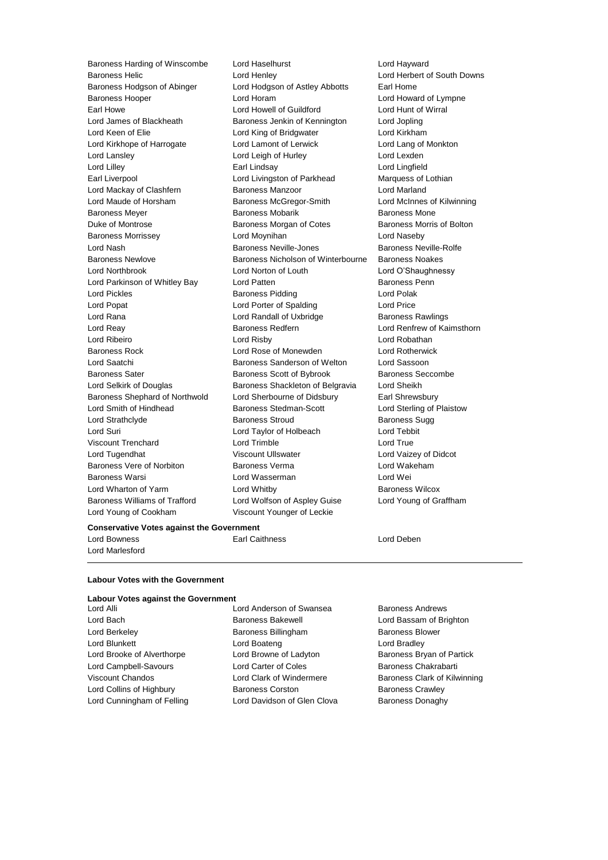Lord Young of Cookham Viscount Younger of Leckie

Baroness Harding of Winscombe Lord Haselhurst Lord Hayward Baroness Helic Lord Henley Lord Herbert of South Downs Baroness Hodgson of Abinger Lord Hodgson of Astley Abbotts Earl Home Baroness Hooper Lord Horam Lord Howard of Lympne Earl Howe Lord Howell of Guildford Lord Hunt of Wirral Lord James of Blackheath Baroness Jenkin of Kennington Lord Jopling Lord Keen of Elie Lord King of Bridgwater Lord Kirkham Lord Kirkhope of Harrogate Lord Lamont of Lerwick Lord Lang of Monkton<br>
Lord Lanslev Lord Leigh of Hurley Lord Lexden Lord Leigh of Hurley Lord Lexden Lord Lilley **Carl Lindsay** Earl Lindsay **Lord Lingfield**<br>
Earl Liverpool **Carl Lingfield** Earl Livingston of Parkhead Marquess of L Lord Livingston of Parkhead Marquess of Lothian Lord Mackay of Clashfern **Baroness Manzoor Baroness Manzoor** Lord Marland Lord Maude of Horsham **Baroness McGregor-Smith** Lord McInnes of Kilwinning<br>Baroness Mever Baroness Mobarik Baroness Mone Baroness Mobarik **Baroness Mone** Duke of Montrose **Baroness Morgan of Cotes** Baroness Morris of Bolton<br>Baroness Morrissey **Baroness Horton** Lord Moynihan **Baroness Morris Control** Baroness Morrissey Lord Moynihan Lord Naseby Lord Nash Baroness Neville-Jones Baroness Neville-Rolfe Baroness Newlove Baroness Nicholson of Winterbourne Baroness Noakes Lord Northbrook Lord Norton of Louth Lord O'Shaughnessy Lord Parkinson of Whitley Bay **Lord Patten Communist Constructs** Baroness Penn Lord Pickles Baroness Pidding Lord Polak Lord Popat Lord Porter of Spalding Lord Price Lord Rana Lord Randall of Uxbridge Baroness Rawlings<br>
Lord Reav Baroness Redfern Lord Renfrew of Ka Lord Reay **Baroness Redfern Baroness Redfern Lord Renfrew of Kaimsthorn** Lord Ribeiro Lord Risby Lord Robathan Baroness Rock Lord Rose of Monewden Lord Rotherwick Lord Saatchi **Baroness Sanderson of Welton** Lord Sassoon<br>Baroness Sater **Baroness Scott of Bybrook** Baroness Seccombe Baroness Scott of Bybrook Lord Selkirk of Douglas **Baroness Shackleton of Belgravia** Lord Sheikh Baroness Shephard of Northwold Lord Sherbourne of Didsbury Earl Shrewsbury Lord Smith of Hindhead Baroness Stedman-Scott Lord Sterling of Plaistow Lord Strathclyde **Baroness Stroud** Baroness Sugg Baroness Sugg Lord Suri Lord Taylor of Holbeach Lord Tebbit Viscount Trenchard Lord Trimble Lord True Lord Tugendhat Viscount Ullswater Lord Vaizey of Didcot Baroness Vere of Norbiton **Baroness Verma** Lord Wakeham Baroness Warsi Lord Wasserman Lord Wei Lord Wharton of Yarm **Lord Whitby Baroness Wilcox** Baroness Williams of Trafford Lord Wolfson of Aspley Guise Lord Young of Graffham

#### **Conservative Votes against the Government**

Lord Marlesford

Lord Bowness Earl Caithness Lord Deben

**Labour Votes with the Government**

# **Labour Votes against the Government**

Lord Anderson of Swansea Baroness Andrews Lord Bach **Baroness Bakewell Baroness Bakewell Lord Bassam of Brighton** Lord Berkeley Baroness Billingham Baroness Blower Lord Blunkett **Lord Boateng** Lord Boateng Lord Bradley Lord Brooke of Alverthorpe Lord Browne of Ladyton Baroness Bryan of Partick Lord Campbell-Savours **Lord Carter of Coles** Baroness Chakrabarti Viscount Chandos **Lord Clark of Windermere** Baroness Clark of Kilwinning Lord Collins of Highbury **Baroness Corston** Baroness Crawley Lord Cunningham of Felling **Lord Davidson of Glen Clova** Baroness Donaghy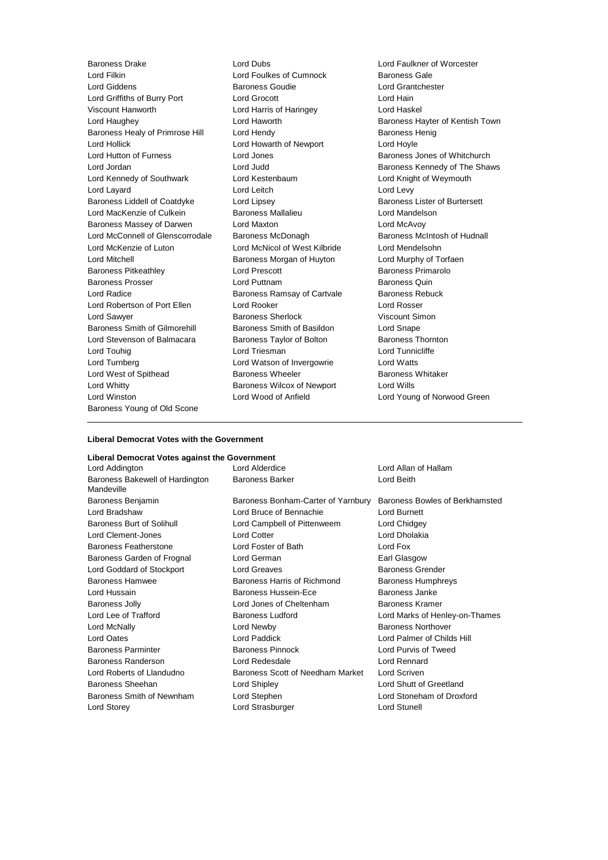Baroness Drake Lord Dubs Lord Faulkner of Worcester Lord Filkin Lord Foulkes of Cumnock and Baroness Gale<br>
Lord Giddens Contract Baroness Goudie Cord Cord Grantches Lord Griffiths of Burry Port Lord Grocott Lord Hain Viscount Hanworth Lord Harris of Haringey Lord Haskel Lord Haughey **Lord Haworth Baroness Hayter of Kentish Town** Baroness Healy of Primrose Hill Lord Hendy Contract Contract Baroness Henig Lord Hollick Lord Howarth of Newport Lord Hoyle Lord Hutton of Furness **Lord Jones** Baroness Jones of Whitchurch Lord Jordan **Lord Judd** Baroness Kennedy of The Shaws Lord Kennedy of Southwark Lord Kestenbaum **Lord Kestenbaum** Lord Knight of Weymouth<br>
Lord Lavard Lord Leitch Lord Leitch Lord Levy Lord Layard **Lord Leitch** Baroness Liddell of Coatdyke Lord Lipsey Lord Baroness Lister of Burtersett Lord MacKenzie of Culkein Baroness Mallalieu Lord Mandelson Baroness Massey of Darwen Lord Maxton Lord McAvoy Lord McConnell of Glenscorrodale Baroness McDonagh Baroness McIntosh of Hudnall Lord McKenzie of Luton Lord McNicol of West Kilbride Lord Mendelsohn Lord Mitchell **Baroness Morgan of Huyton** Lord Murphy of Torfaen Baroness Pitkeathley Lord Prescott Baroness Primarolo Baroness Prosser **Example 2** Lord Puttnam **Baroness Quin** Lord Radice **Baroness Ramsay of Cartvale** Baroness Rebuck Lord Robertson of Port Ellen Lord Rooker Lord Rosser Lord Sawyer **Baroness Sherlock** Miscount Simon Baroness Smith of Gilmorehill Baroness Smith of Basildon Lord Snape Lord Stevenson of Balmacara Baroness Taylor of Bolton Baroness Thornton Lord Touhig Lord Triesman Lord Tunnicliffe Lord Turnberg Lord Watson of Invergowrie Lord Watts Lord West of Spithead Baroness Wheeler Lord Whitty Baroness Wilcox of Newport Lord Wills Lord Winston Lord Wood of Anfield Lord Young of Norwood Green Baroness Young of Old Scone

Lord Giddens Baroness Goudie Lord Grantchester

## **Liberal Democrat Votes with the Government**

# **Liberal Democrat Votes against the Government**

Lord Addington Lord Alderdice Lord Allan of Hallam Baroness Bakewell of Hardington Mandeville

Baroness Benjamin Baroness Bonham-Carter of Yarnbury Baroness Bowles of Berkhamsted Lord Bradshaw Lord Bruce of Bennachie Lord Burnett Baroness Burt of Solihull **Lord Campbell of Pittenweem** Lord Chidgey Lord Clement-Jones Lord Cotter Lord Dholakia Baroness Featherstone Lord Foster of Bath Lord Fox Baroness Garden of Frognal Lord German **Earl Glasgow** Earl Glasgow Lord Goddard of Stockport Lord Greaves **Baroness Grender** Baroness Grender Baroness Hamwee **Baroness Harris of Richmond** Baroness Humphreys Lord Hussain Baroness Hussein-Ece Baroness Janke Baroness Jolly **Communist Constructed Lord Jones of Cheltenham** Baroness Kramer Lord Lee of Trafford **Baroness Ludford** Lord Marks of Henley-on-Thames Lord McNally **Community** Lord Newby **Community** Baroness Northover Lord Oates Lord Paddick Lord Palmer of Childs Hill Baroness Parminter **Baroness Pinnock** Lord Purvis of Tweed Baroness Randerson Lord Redesdale Lord Rennard Lord Roberts of Llandudno Baroness Scott of Needham Market Lord Scriven Baroness Sheehan Lord Shipley Lord Shutt of Greetland Baroness Smith of Newnham Lord Stephen Lord Stoneham of Droxford Lord Storey **Lord Strasburger** Cord Strasburger **Lord Stunell** 

Baroness Barker **Lord Beith**